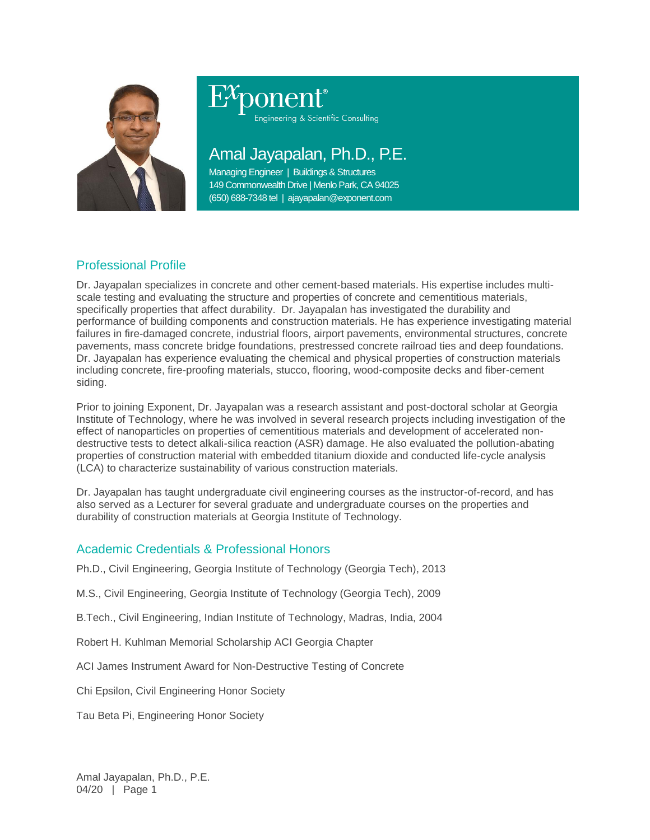

Engineering & Scientific Consulting

# Amal Jayapalan, Ph.D., P.E.

Managing Engineer | Buildings & Structures 149 Commonwealth Drive | Menlo Park, CA 94025 (650) 688-7348 tel | ajayapalan@exponent.com

# Professional Profile

Dr. Jayapalan specializes in concrete and other cement-based materials. His expertise includes multiscale testing and evaluating the structure and properties of concrete and cementitious materials, specifically properties that affect durability. Dr. Jayapalan has investigated the durability and performance of building components and construction materials. He has experience investigating material failures in fire-damaged concrete, industrial floors, airport pavements, environmental structures, concrete pavements, mass concrete bridge foundations, prestressed concrete railroad ties and deep foundations. Dr. Jayapalan has experience evaluating the chemical and physical properties of construction materials including concrete, fire-proofing materials, stucco, flooring, wood-composite decks and fiber-cement siding.

Prior to joining Exponent, Dr. Jayapalan was a research assistant and post-doctoral scholar at Georgia Institute of Technology, where he was involved in several research projects including investigation of the effect of nanoparticles on properties of cementitious materials and development of accelerated nondestructive tests to detect alkali-silica reaction (ASR) damage. He also evaluated the pollution-abating properties of construction material with embedded titanium dioxide and conducted life-cycle analysis (LCA) to characterize sustainability of various construction materials.

Dr. Jayapalan has taught undergraduate civil engineering courses as the instructor-of-record, and has also served as a Lecturer for several graduate and undergraduate courses on the properties and durability of construction materials at Georgia Institute of Technology.

## Academic Credentials & Professional Honors

Ph.D., Civil Engineering, Georgia Institute of Technology (Georgia Tech), 2013

M.S., Civil Engineering, Georgia Institute of Technology (Georgia Tech), 2009

B.Tech., Civil Engineering, Indian Institute of Technology, Madras, India, 2004

Robert H. Kuhlman Memorial Scholarship ACI Georgia Chapter

ACI James Instrument Award for Non-Destructive Testing of Concrete

Chi Epsilon, Civil Engineering Honor Society

Tau Beta Pi, Engineering Honor Society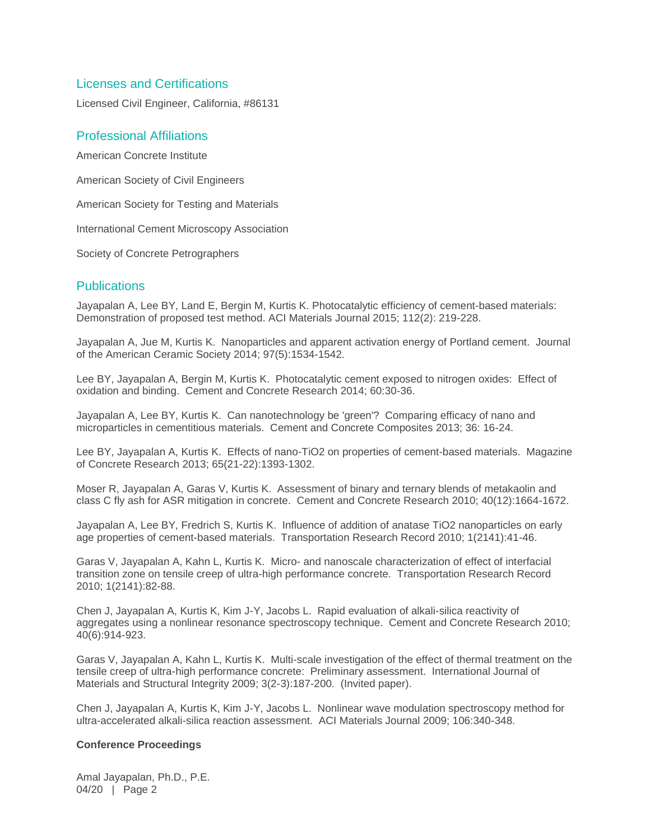#### Licenses and Certifications

Licensed Civil Engineer, California, #86131

### Professional Affiliations

American Concrete Institute

American Society of Civil Engineers

American Society for Testing and Materials

International Cement Microscopy Association

Society of Concrete Petrographers

#### **Publications**

Jayapalan A, Lee BY, Land E, Bergin M, Kurtis K. Photocatalytic efficiency of cement-based materials: Demonstration of proposed test method. ACI Materials Journal 2015; 112(2): 219-228.

Jayapalan A, Jue M, Kurtis K. Nanoparticles and apparent activation energy of Portland cement. Journal of the American Ceramic Society 2014; 97(5):1534-1542.

Lee BY, Jayapalan A, Bergin M, Kurtis K. Photocatalytic cement exposed to nitrogen oxides: Effect of oxidation and binding. Cement and Concrete Research 2014; 60:30-36.

Jayapalan A, Lee BY, Kurtis K. Can nanotechnology be 'green'? Comparing efficacy of nano and microparticles in cementitious materials. Cement and Concrete Composites 2013; 36: 16-24.

Lee BY, Jayapalan A, Kurtis K. Effects of nano-TiO2 on properties of cement-based materials. Magazine of Concrete Research 2013; 65(21-22):1393-1302.

Moser R, Jayapalan A, Garas V, Kurtis K. Assessment of binary and ternary blends of metakaolin and class C fly ash for ASR mitigation in concrete. Cement and Concrete Research 2010; 40(12):1664-1672.

Jayapalan A, Lee BY, Fredrich S, Kurtis K. Influence of addition of anatase TiO2 nanoparticles on early age properties of cement-based materials. Transportation Research Record 2010; 1(2141):41-46.

Garas V, Jayapalan A, Kahn L, Kurtis K. Micro- and nanoscale characterization of effect of interfacial transition zone on tensile creep of ultra-high performance concrete. Transportation Research Record 2010; 1(2141):82-88.

Chen J, Jayapalan A, Kurtis K, Kim J-Y, Jacobs L. Rapid evaluation of alkali-silica reactivity of aggregates using a nonlinear resonance spectroscopy technique. Cement and Concrete Research 2010; 40(6):914-923.

Garas V, Jayapalan A, Kahn L, Kurtis K. Multi-scale investigation of the effect of thermal treatment on the tensile creep of ultra-high performance concrete: Preliminary assessment. International Journal of Materials and Structural Integrity 2009; 3(2-3):187-200. (Invited paper).

Chen J, Jayapalan A, Kurtis K, Kim J-Y, Jacobs L. Nonlinear wave modulation spectroscopy method for ultra-accelerated alkali-silica reaction assessment. ACI Materials Journal 2009; 106:340-348.

#### **Conference Proceedings**

Amal Jayapalan, Ph.D., P.E. 04/20 | Page 2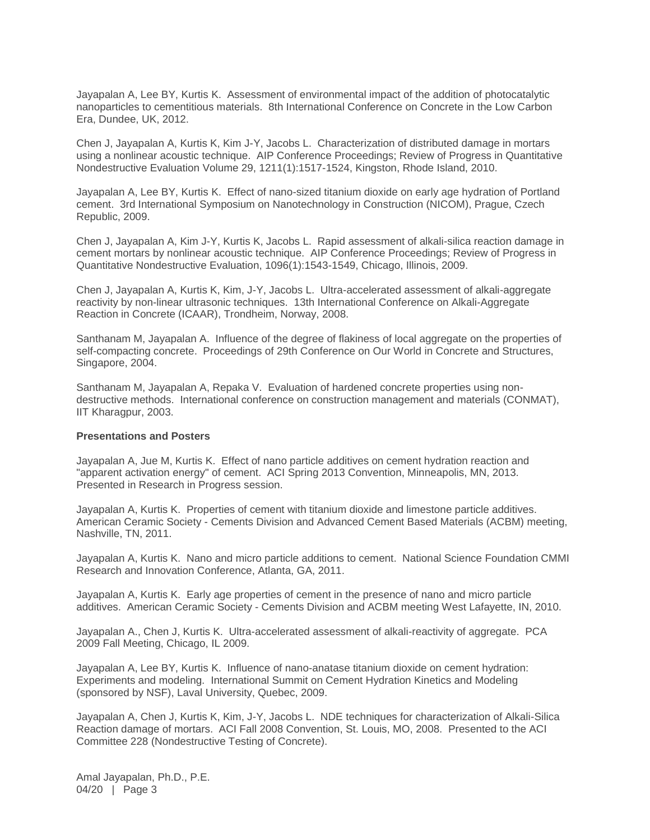Jayapalan A, Lee BY, Kurtis K. Assessment of environmental impact of the addition of photocatalytic nanoparticles to cementitious materials. 8th International Conference on Concrete in the Low Carbon Era, Dundee, UK, 2012.

Chen J, Jayapalan A, Kurtis K, Kim J-Y, Jacobs L. Characterization of distributed damage in mortars using a nonlinear acoustic technique. AIP Conference Proceedings; Review of Progress in Quantitative Nondestructive Evaluation Volume 29, 1211(1):1517-1524, Kingston, Rhode Island, 2010.

Jayapalan A, Lee BY, Kurtis K. Effect of nano-sized titanium dioxide on early age hydration of Portland cement. 3rd International Symposium on Nanotechnology in Construction (NICOM), Prague, Czech Republic, 2009.

Chen J, Jayapalan A, Kim J-Y, Kurtis K, Jacobs L. Rapid assessment of alkali-silica reaction damage in cement mortars by nonlinear acoustic technique. AIP Conference Proceedings; Review of Progress in Quantitative Nondestructive Evaluation, 1096(1):1543-1549, Chicago, Illinois, 2009.

Chen J, Jayapalan A, Kurtis K, Kim, J-Y, Jacobs L. Ultra-accelerated assessment of alkali-aggregate reactivity by non-linear ultrasonic techniques. 13th International Conference on Alkali-Aggregate Reaction in Concrete (ICAAR), Trondheim, Norway, 2008.

Santhanam M, Jayapalan A. Influence of the degree of flakiness of local aggregate on the properties of self-compacting concrete. Proceedings of 29th Conference on Our World in Concrete and Structures, Singapore, 2004.

Santhanam M, Jayapalan A, Repaka V. Evaluation of hardened concrete properties using nondestructive methods. International conference on construction management and materials (CONMAT), IIT Kharagpur, 2003.

#### **Presentations and Posters**

Jayapalan A, Jue M, Kurtis K. Effect of nano particle additives on cement hydration reaction and "apparent activation energy" of cement. ACI Spring 2013 Convention, Minneapolis, MN, 2013. Presented in Research in Progress session.

Jayapalan A, Kurtis K. Properties of cement with titanium dioxide and limestone particle additives. American Ceramic Society - Cements Division and Advanced Cement Based Materials (ACBM) meeting, Nashville, TN, 2011.

Jayapalan A, Kurtis K. Nano and micro particle additions to cement. National Science Foundation CMMI Research and Innovation Conference, Atlanta, GA, 2011.

Jayapalan A, Kurtis K. Early age properties of cement in the presence of nano and micro particle additives. American Ceramic Society - Cements Division and ACBM meeting West Lafayette, IN, 2010.

Jayapalan A., Chen J, Kurtis K. Ultra-accelerated assessment of alkali-reactivity of aggregate. PCA 2009 Fall Meeting, Chicago, IL 2009.

Jayapalan A, Lee BY, Kurtis K. Influence of nano-anatase titanium dioxide on cement hydration: Experiments and modeling. International Summit on Cement Hydration Kinetics and Modeling (sponsored by NSF), Laval University, Quebec, 2009.

Jayapalan A, Chen J, Kurtis K, Kim, J-Y, Jacobs L. NDE techniques for characterization of Alkali-Silica Reaction damage of mortars. ACI Fall 2008 Convention, St. Louis, MO, 2008. Presented to the ACI Committee 228 (Nondestructive Testing of Concrete).